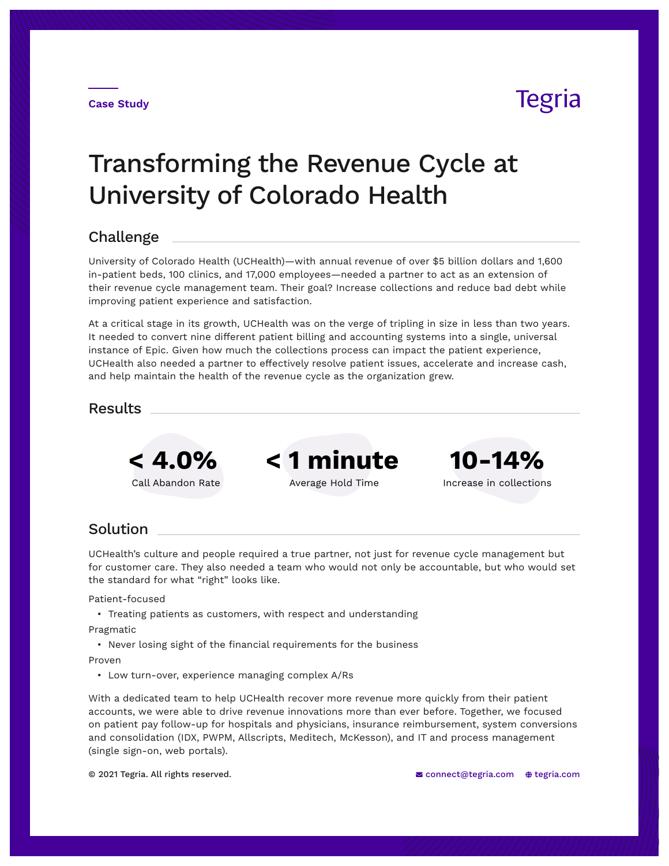## Tegria

# Transforming the Revenue Cycle at University of Colorado Health

## Challenge

University of Colorado Health (UCHealth)—with annual revenue of over \$5 billion dollars and 1,600 in-patient beds, 100 clinics, and 17,000 employees—needed a partner to act as an extension of their revenue cycle management team. Their goal? Increase collections and reduce bad debt while improving patient experience and satisfaction.

At a critical stage in its growth, UCHealth was on the verge of tripling in size in less than two years. It needed to convert nine different patient billing and accounting systems into a single, universal instance of Epic. Given how much the collections process can impact the patient experience, UCHealth also needed a partner to effectively resolve patient issues, accelerate and increase cash, and help maintain the health of the revenue cycle as the organization grew.

### Results



**< 4.0% < 1 minute 10-14%**



Call Abandon Rate **Average Hold Time** Increase in collections

## Solution

UCHealth's culture and people required a true partner, not just for revenue cycle management but for customer care. They also needed a team who would not only be accountable, but who would set the standard for what "right" looks like.

Patient-focused

• Treating patients as customers, with respect and understanding

Pragmatic

• Never losing sight of the financial requirements for the business

Proven

• Low turn-over, experience managing complex A/Rs

With a dedicated team to help UCHealth recover more revenue more quickly from their patient accounts, we were able to drive revenue innovations more than ever before. Together, we focused on patient pay follow-up for hospitals and physicians, insurance reimbursement, system conversions and consolidation (IDX, PWPM, Allscripts, Meditech, McKesson), and IT and process management (single sign-on, web portals).